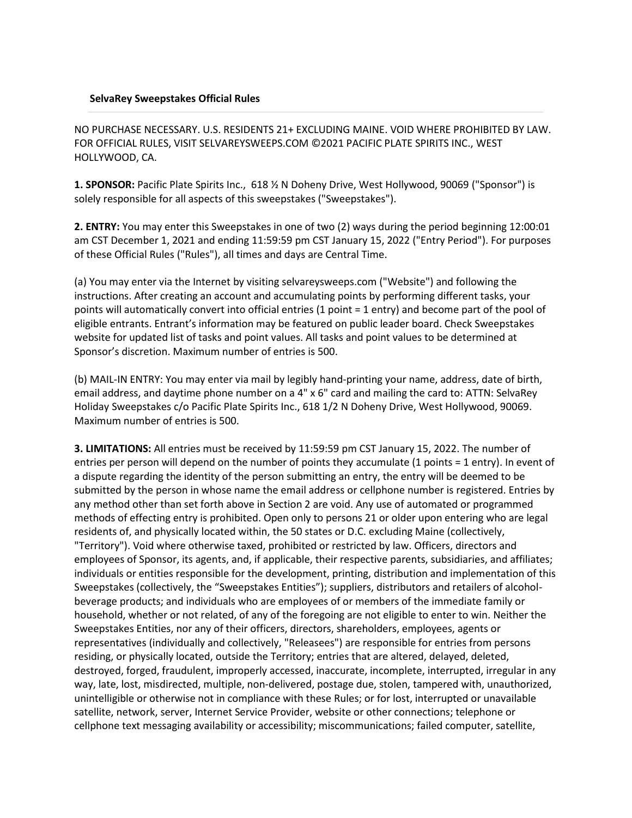## **SelvaRey Sweepstakes Official Rules**

NO PURCHASE NECESSARY. U.S. RESIDENTS 21+ EXCLUDING MAINE. VOID WHERE PROHIBITED BY LAW. FOR OFFICIAL RULES, VISIT SELVAREYSWEEPS.COM ©2021 PACIFIC PLATE SPIRITS INC., WEST HOLLYWOOD, CA.

**1. SPONSOR:** Pacific Plate Spirits Inc., 618 ½ N Doheny Drive, West Hollywood, 90069 ("Sponsor") is solely responsible for all aspects of this sweepstakes ("Sweepstakes").

**2. ENTRY:** You may enter this Sweepstakes in one of two (2) ways during the period beginning 12:00:01 am CST December 1, 2021 and ending 11:59:59 pm CST January 15, 2022 ("Entry Period"). For purposes of these Official Rules ("Rules"), all times and days are Central Time.

(a) You may enter via the Internet by visiting selvareysweeps.com ("Website") and following the instructions. After creating an account and accumulating points by performing different tasks, your points will automatically convert into official entries (1 point = 1 entry) and become part of the pool of eligible entrants. Entrant's information may be featured on public leader board. Check Sweepstakes website for updated list of tasks and point values. All tasks and point values to be determined at Sponsor's discretion. Maximum number of entries is 500.

(b) MAIL-IN ENTRY: You may enter via mail by legibly hand-printing your name, address, date of birth, email address, and daytime phone number on a 4" x 6" card and mailing the card to: ATTN: SelvaRey Holiday Sweepstakes c/o Pacific Plate Spirits Inc., 618 1/2 N Doheny Drive, West Hollywood, 90069. Maximum number of entries is 500.

**3. LIMITATIONS:** All entries must be received by 11:59:59 pm CST January 15, 2022. The number of entries per person will depend on the number of points they accumulate (1 points = 1 entry). In event of a dispute regarding the identity of the person submitting an entry, the entry will be deemed to be submitted by the person in whose name the email address or cellphone number is registered. Entries by any method other than set forth above in Section 2 are void. Any use of automated or programmed methods of effecting entry is prohibited. Open only to persons 21 or older upon entering who are legal residents of, and physically located within, the 50 states or D.C. excluding Maine (collectively, "Territory"). Void where otherwise taxed, prohibited or restricted by law. Officers, directors and employees of Sponsor, its agents, and, if applicable, their respective parents, subsidiaries, and affiliates; individuals or entities responsible for the development, printing, distribution and implementation of this Sweepstakes (collectively, the "Sweepstakes Entities"); suppliers, distributors and retailers of alcoholbeverage products; and individuals who are employees of or members of the immediate family or household, whether or not related, of any of the foregoing are not eligible to enter to win. Neither the Sweepstakes Entities, nor any of their officers, directors, shareholders, employees, agents or representatives (individually and collectively, "Releasees") are responsible for entries from persons residing, or physically located, outside the Territory; entries that are altered, delayed, deleted, destroyed, forged, fraudulent, improperly accessed, inaccurate, incomplete, interrupted, irregular in any way, late, lost, misdirected, multiple, non-delivered, postage due, stolen, tampered with, unauthorized, unintelligible or otherwise not in compliance with these Rules; or for lost, interrupted or unavailable satellite, network, server, Internet Service Provider, website or other connections; telephone or cellphone text messaging availability or accessibility; miscommunications; failed computer, satellite,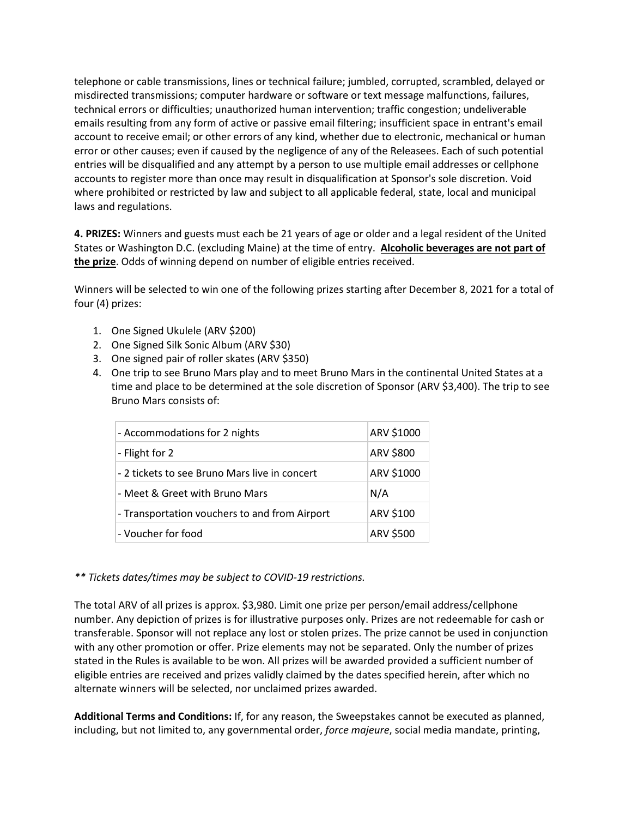telephone or cable transmissions, lines or technical failure; jumbled, corrupted, scrambled, delayed or misdirected transmissions; computer hardware or software or text message malfunctions, failures, technical errors or difficulties; unauthorized human intervention; traffic congestion; undeliverable emails resulting from any form of active or passive email filtering; insufficient space in entrant's email account to receive email; or other errors of any kind, whether due to electronic, mechanical or human error or other causes; even if caused by the negligence of any of the Releasees. Each of such potential entries will be disqualified and any attempt by a person to use multiple email addresses or cellphone accounts to register more than once may result in disqualification at Sponsor's sole discretion. Void where prohibited or restricted by law and subject to all applicable federal, state, local and municipal laws and regulations.

**4. PRIZES:** Winners and guests must each be 21 years of age or older and a legal resident of the United States or Washington D.C. (excluding Maine) at the time of entry. **Alcoholic beverages are not part of the prize**. Odds of winning depend on number of eligible entries received.

Winners will be selected to win one of the following prizes starting after December 8, 2021 for a total of four (4) prizes:

- 1. One Signed Ukulele (ARV \$200)
- 2. One Signed Silk Sonic Album (ARV \$30)
- 3. One signed pair of roller skates (ARV \$350)
- 4. One trip to see Bruno Mars play and to meet Bruno Mars in the continental United States at a time and place to be determined at the sole discretion of Sponsor (ARV \$3,400). The trip to see Bruno Mars consists of:

| - Accommodations for 2 nights                 | ARV \$1000 |
|-----------------------------------------------|------------|
| - Flight for 2                                | ARV \$800  |
| - 2 tickets to see Bruno Mars live in concert | ARV \$1000 |
| - Meet & Greet with Bruno Mars                | N/A        |
| - Transportation vouchers to and from Airport | ARV \$100  |
| - Voucher for food                            | ARV \$500  |

## *\*\* Tickets dates/times may be subject to COVID-19 restrictions.*

The total ARV of all prizes is approx. \$3,980. Limit one prize per person/email address/cellphone number. Any depiction of prizes is for illustrative purposes only. Prizes are not redeemable for cash or transferable. Sponsor will not replace any lost or stolen prizes. The prize cannot be used in conjunction with any other promotion or offer. Prize elements may not be separated. Only the number of prizes stated in the Rules is available to be won. All prizes will be awarded provided a sufficient number of eligible entries are received and prizes validly claimed by the dates specified herein, after which no alternate winners will be selected, nor unclaimed prizes awarded.

**Additional Terms and Conditions:** If, for any reason, the Sweepstakes cannot be executed as planned, including, but not limited to, any governmental order, *force majeure*, social media mandate, printing,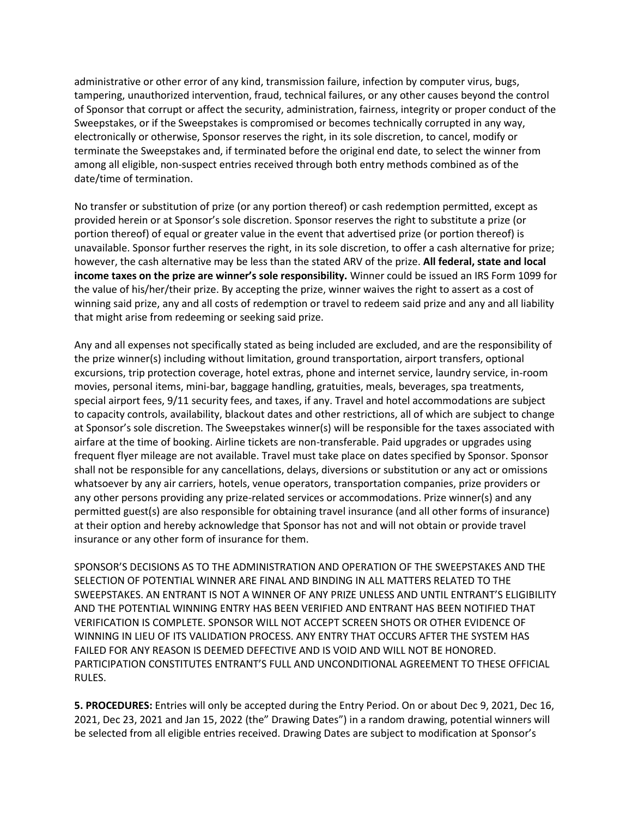administrative or other error of any kind, transmission failure, infection by computer virus, bugs, tampering, unauthorized intervention, fraud, technical failures, or any other causes beyond the control of Sponsor that corrupt or affect the security, administration, fairness, integrity or proper conduct of the Sweepstakes, or if the Sweepstakes is compromised or becomes technically corrupted in any way, electronically or otherwise, Sponsor reserves the right, in its sole discretion, to cancel, modify or terminate the Sweepstakes and, if terminated before the original end date, to select the winner from among all eligible, non-suspect entries received through both entry methods combined as of the date/time of termination.

No transfer or substitution of prize (or any portion thereof) or cash redemption permitted, except as provided herein or at Sponsor's sole discretion. Sponsor reserves the right to substitute a prize (or portion thereof) of equal or greater value in the event that advertised prize (or portion thereof) is unavailable. Sponsor further reserves the right, in its sole discretion, to offer a cash alternative for prize; however, the cash alternative may be less than the stated ARV of the prize. **All federal, state and local income taxes on the prize are winner's sole responsibility.** Winner could be issued an IRS Form 1099 for the value of his/her/their prize. By accepting the prize, winner waives the right to assert as a cost of winning said prize, any and all costs of redemption or travel to redeem said prize and any and all liability that might arise from redeeming or seeking said prize.

Any and all expenses not specifically stated as being included are excluded, and are the responsibility of the prize winner(s) including without limitation, ground transportation, airport transfers, optional excursions, trip protection coverage, hotel extras, phone and internet service, laundry service, in-room movies, personal items, mini-bar, baggage handling, gratuities, meals, beverages, spa treatments, special airport fees, 9/11 security fees, and taxes, if any. Travel and hotel accommodations are subject to capacity controls, availability, blackout dates and other restrictions, all of which are subject to change at Sponsor's sole discretion. The Sweepstakes winner(s) will be responsible for the taxes associated with airfare at the time of booking. Airline tickets are non-transferable. Paid upgrades or upgrades using frequent flyer mileage are not available. Travel must take place on dates specified by Sponsor. Sponsor shall not be responsible for any cancellations, delays, diversions or substitution or any act or omissions whatsoever by any air carriers, hotels, venue operators, transportation companies, prize providers or any other persons providing any prize-related services or accommodations. Prize winner(s) and any permitted guest(s) are also responsible for obtaining travel insurance (and all other forms of insurance) at their option and hereby acknowledge that Sponsor has not and will not obtain or provide travel insurance or any other form of insurance for them.

SPONSOR'S DECISIONS AS TO THE ADMINISTRATION AND OPERATION OF THE SWEEPSTAKES AND THE SELECTION OF POTENTIAL WINNER ARE FINAL AND BINDING IN ALL MATTERS RELATED TO THE SWEEPSTAKES. AN ENTRANT IS NOT A WINNER OF ANY PRIZE UNLESS AND UNTIL ENTRANT'S ELIGIBILITY AND THE POTENTIAL WINNING ENTRY HAS BEEN VERIFIED AND ENTRANT HAS BEEN NOTIFIED THAT VERIFICATION IS COMPLETE. SPONSOR WILL NOT ACCEPT SCREEN SHOTS OR OTHER EVIDENCE OF WINNING IN LIEU OF ITS VALIDATION PROCESS. ANY ENTRY THAT OCCURS AFTER THE SYSTEM HAS FAILED FOR ANY REASON IS DEEMED DEFECTIVE AND IS VOID AND WILL NOT BE HONORED. PARTICIPATION CONSTITUTES ENTRANT'S FULL AND UNCONDITIONAL AGREEMENT TO THESE OFFICIAL RULES.

**5. PROCEDURES:** Entries will only be accepted during the Entry Period. On or about Dec 9, 2021, Dec 16, 2021, Dec 23, 2021 and Jan 15, 2022 (the" Drawing Dates") in a random drawing, potential winners will be selected from all eligible entries received. Drawing Dates are subject to modification at Sponsor's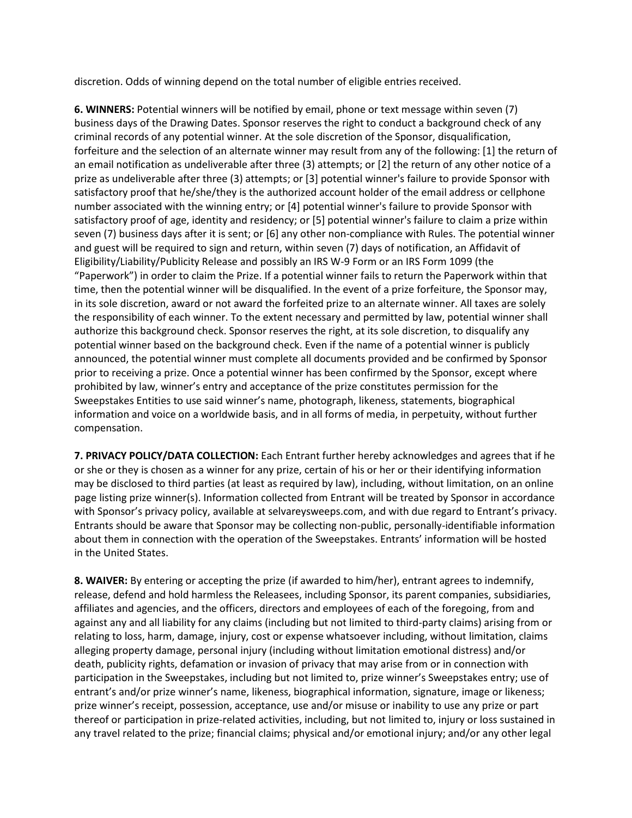discretion. Odds of winning depend on the total number of eligible entries received.

**6. WINNERS:** Potential winners will be notified by email, phone or text message within seven (7) business days of the Drawing Dates. Sponsor reserves the right to conduct a background check of any criminal records of any potential winner. At the sole discretion of the Sponsor, disqualification, forfeiture and the selection of an alternate winner may result from any of the following: [1] the return of an email notification as undeliverable after three (3) attempts; or [2] the return of any other notice of a prize as undeliverable after three (3) attempts; or [3] potential winner's failure to provide Sponsor with satisfactory proof that he/she/they is the authorized account holder of the email address or cellphone number associated with the winning entry; or [4] potential winner's failure to provide Sponsor with satisfactory proof of age, identity and residency; or [5] potential winner's failure to claim a prize within seven (7) business days after it is sent; or [6] any other non-compliance with Rules. The potential winner and guest will be required to sign and return, within seven (7) days of notification, an Affidavit of Eligibility/Liability/Publicity Release and possibly an IRS W-9 Form or an IRS Form 1099 (the "Paperwork") in order to claim the Prize. If a potential winner fails to return the Paperwork within that time, then the potential winner will be disqualified. In the event of a prize forfeiture, the Sponsor may, in its sole discretion, award or not award the forfeited prize to an alternate winner. All taxes are solely the responsibility of each winner. To the extent necessary and permitted by law, potential winner shall authorize this background check. Sponsor reserves the right, at its sole discretion, to disqualify any potential winner based on the background check. Even if the name of a potential winner is publicly announced, the potential winner must complete all documents provided and be confirmed by Sponsor prior to receiving a prize. Once a potential winner has been confirmed by the Sponsor, except where prohibited by law, winner's entry and acceptance of the prize constitutes permission for the Sweepstakes Entities to use said winner's name, photograph, likeness, statements, biographical information and voice on a worldwide basis, and in all forms of media, in perpetuity, without further compensation.

**7. PRIVACY POLICY/DATA COLLECTION:** Each Entrant further hereby acknowledges and agrees that if he or she or they is chosen as a winner for any prize, certain of his or her or their identifying information may be disclosed to third parties (at least as required by law), including, without limitation, on an online page listing prize winner(s). Information collected from Entrant will be treated by Sponsor in accordance with Sponsor's privacy policy, available at selvareysweeps.com, and with due regard to Entrant's privacy. Entrants should be aware that Sponsor may be collecting non-public, personally-identifiable information about them in connection with the operation of the Sweepstakes. Entrants' information will be hosted in the United States.

**8. WAIVER:** By entering or accepting the prize (if awarded to him/her), entrant agrees to indemnify, release, defend and hold harmless the Releasees, including Sponsor, its parent companies, subsidiaries, affiliates and agencies, and the officers, directors and employees of each of the foregoing, from and against any and all liability for any claims (including but not limited to third-party claims) arising from or relating to loss, harm, damage, injury, cost or expense whatsoever including, without limitation, claims alleging property damage, personal injury (including without limitation emotional distress) and/or death, publicity rights, defamation or invasion of privacy that may arise from or in connection with participation in the Sweepstakes, including but not limited to, prize winner's Sweepstakes entry; use of entrant's and/or prize winner's name, likeness, biographical information, signature, image or likeness; prize winner's receipt, possession, acceptance, use and/or misuse or inability to use any prize or part thereof or participation in prize-related activities, including, but not limited to, injury or loss sustained in any travel related to the prize; financial claims; physical and/or emotional injury; and/or any other legal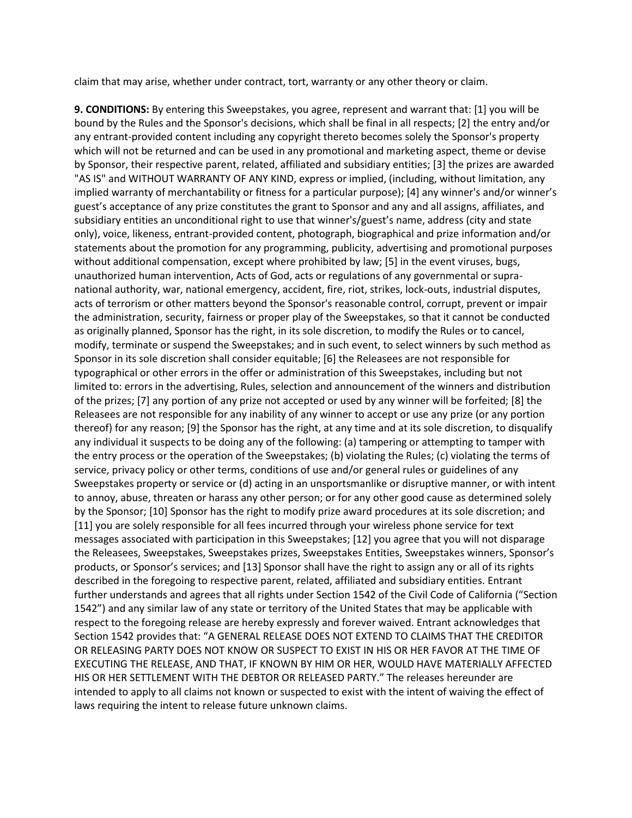claim that may arise, whether under contract, tort, warranty or any other theory or claim.

**9. CONDITIONS:** By entering this Sweepstakes, you agree, represent and warrant that: [1] you will be bound by the Rules and the Sponsor's decisions, which shall be final in all respects; [2] the entry and/or any entrant-provided content including any copyright thereto becomes solely the Sponsor's property which will not be returned and can be used in any promotional and marketing aspect, theme or devise by Sponsor, their respective parent, related, affiliated and subsidiary entities; [3] the prizes are awarded "AS IS" and WITHOUT WARRANTY OF ANY KIND, express or implied, (including, without limitation, any implied warranty of merchantability or fitness for a particular purpose); [4] any winner's and/or winner's guest's acceptance of any prize constitutes the grant to Sponsor and any and all assigns, affiliates, and subsidiary entities an unconditional right to use that winner's/guest's name, address (city and state only), voice, likeness, entrant-provided content, photograph, biographical and prize information and/or statements about the promotion for any programming, publicity, advertising and promotional purposes without additional compensation, except where prohibited by law; [5] in the event viruses, bugs, unauthorized human intervention, Acts of God, acts or regulations of any governmental or supranational authority, war, national emergency, accident, fire, riot, strikes, lock-outs, industrial disputes, acts of terrorism or other matters beyond the Sponsor's reasonable control, corrupt, prevent or impair the administration, security, fairness or proper play of the Sweepstakes, so that it cannot be conducted as originally planned, Sponsor has the right, in its sole discretion, to modify the Rules or to cancel, modify, terminate or suspend the Sweepstakes; and in such event, to select winners by such method as Sponsor in its sole discretion shall consider equitable; [6] the Releasees are not responsible for typographical or other errors in the offer or administration of this Sweepstakes, including but not limited to: errors in the advertising, Rules, selection and announcement of the winners and distribution of the prizes; [7] any portion of any prize not accepted or used by any winner will be forfeited; [8] the Releasees are not responsible for any inability of any winner to accept or use any prize (or any portion thereof) for any reason; [9] the Sponsor has the right, at any time and at its sole discretion, to disqualify any individual it suspects to be doing any of the following: (a) tampering or attempting to tamper with the entry process or the operation of the Sweepstakes; (b) violating the Rules; (c) violating the terms of service, privacy policy or other terms, conditions of use and/or general rules or guidelines of any Sweepstakes property or service or (d) acting in an unsportsmanlike or disruptive manner, or with intent to annoy, abuse, threaten or harass any other person; or for any other good cause as determined solely by the Sponsor; [10] Sponsor has the right to modify prize award procedures at its sole discretion; and [11] you are solely responsible for all fees incurred through your wireless phone service for text messages associated with participation in this Sweepstakes; [12] you agree that you will not disparage the Releasees, Sweepstakes, Sweepstakes prizes, Sweepstakes Entities, Sweepstakes winners, Sponsor's products, or Sponsor's services; and [13] Sponsor shall have the right to assign any or all of its rights described in the foregoing to respective parent, related, affiliated and subsidiary entities. Entrant further understands and agrees that all rights under Section 1542 of the Civil Code of California ("Section 1542") and any similar law of any state or territory of the United States that may be applicable with respect to the foregoing release are hereby expressly and forever waived. Entrant acknowledges that Section 1542 provides that: "A GENERAL RELEASE DOES NOT EXTEND TO CLAIMS THAT THE CREDITOR OR RELEASING PARTY DOES NOT KNOW OR SUSPECT TO EXIST IN HIS OR HER FAVOR AT THE TIME OF EXECUTING THE RELEASE, AND THAT, IF KNOWN BY HIM OR HER, WOULD HAVE MATERIALLY AFFECTED HIS OR HER SETTLEMENT WITH THE DEBTOR OR RELEASED PARTY." The releases hereunder are intended to apply to all claims not known or suspected to exist with the intent of waiving the effect of laws requiring the intent to release future unknown claims.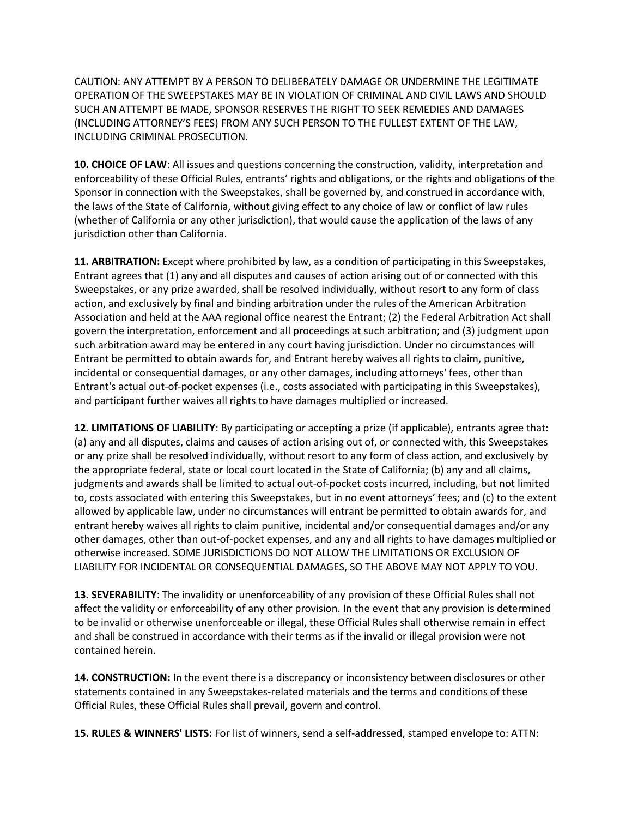CAUTION: ANY ATTEMPT BY A PERSON TO DELIBERATELY DAMAGE OR UNDERMINE THE LEGITIMATE OPERATION OF THE SWEEPSTAKES MAY BE IN VIOLATION OF CRIMINAL AND CIVIL LAWS AND SHOULD SUCH AN ATTEMPT BE MADE, SPONSOR RESERVES THE RIGHT TO SEEK REMEDIES AND DAMAGES (INCLUDING ATTORNEY'S FEES) FROM ANY SUCH PERSON TO THE FULLEST EXTENT OF THE LAW, INCLUDING CRIMINAL PROSECUTION.

**10. CHOICE OF LAW**: All issues and questions concerning the construction, validity, interpretation and enforceability of these Official Rules, entrants' rights and obligations, or the rights and obligations of the Sponsor in connection with the Sweepstakes, shall be governed by, and construed in accordance with, the laws of the State of California, without giving effect to any choice of law or conflict of law rules (whether of California or any other jurisdiction), that would cause the application of the laws of any jurisdiction other than California.

**11. ARBITRATION:** Except where prohibited by law, as a condition of participating in this Sweepstakes, Entrant agrees that (1) any and all disputes and causes of action arising out of or connected with this Sweepstakes, or any prize awarded, shall be resolved individually, without resort to any form of class action, and exclusively by final and binding arbitration under the rules of the American Arbitration Association and held at the AAA regional office nearest the Entrant; (2) the Federal Arbitration Act shall govern the interpretation, enforcement and all proceedings at such arbitration; and (3) judgment upon such arbitration award may be entered in any court having jurisdiction. Under no circumstances will Entrant be permitted to obtain awards for, and Entrant hereby waives all rights to claim, punitive, incidental or consequential damages, or any other damages, including attorneys' fees, other than Entrant's actual out-of-pocket expenses (i.e., costs associated with participating in this Sweepstakes), and participant further waives all rights to have damages multiplied or increased.

**12. LIMITATIONS OF LIABILITY**: By participating or accepting a prize (if applicable), entrants agree that: (a) any and all disputes, claims and causes of action arising out of, or connected with, this Sweepstakes or any prize shall be resolved individually, without resort to any form of class action, and exclusively by the appropriate federal, state or local court located in the State of California; (b) any and all claims, judgments and awards shall be limited to actual out-of-pocket costs incurred, including, but not limited to, costs associated with entering this Sweepstakes, but in no event attorneys' fees; and (c) to the extent allowed by applicable law, under no circumstances will entrant be permitted to obtain awards for, and entrant hereby waives all rights to claim punitive, incidental and/or consequential damages and/or any other damages, other than out-of-pocket expenses, and any and all rights to have damages multiplied or otherwise increased. SOME JURISDICTIONS DO NOT ALLOW THE LIMITATIONS OR EXCLUSION OF LIABILITY FOR INCIDENTAL OR CONSEQUENTIAL DAMAGES, SO THE ABOVE MAY NOT APPLY TO YOU.

**13. SEVERABILITY**: The invalidity or unenforceability of any provision of these Official Rules shall not affect the validity or enforceability of any other provision. In the event that any provision is determined to be invalid or otherwise unenforceable or illegal, these Official Rules shall otherwise remain in effect and shall be construed in accordance with their terms as if the invalid or illegal provision were not contained herein.

**14. CONSTRUCTION:** In the event there is a discrepancy or inconsistency between disclosures or other statements contained in any Sweepstakes-related materials and the terms and conditions of these Official Rules, these Official Rules shall prevail, govern and control.

**15. RULES & WINNERS' LISTS:** For list of winners, send a self-addressed, stamped envelope to: ATTN: